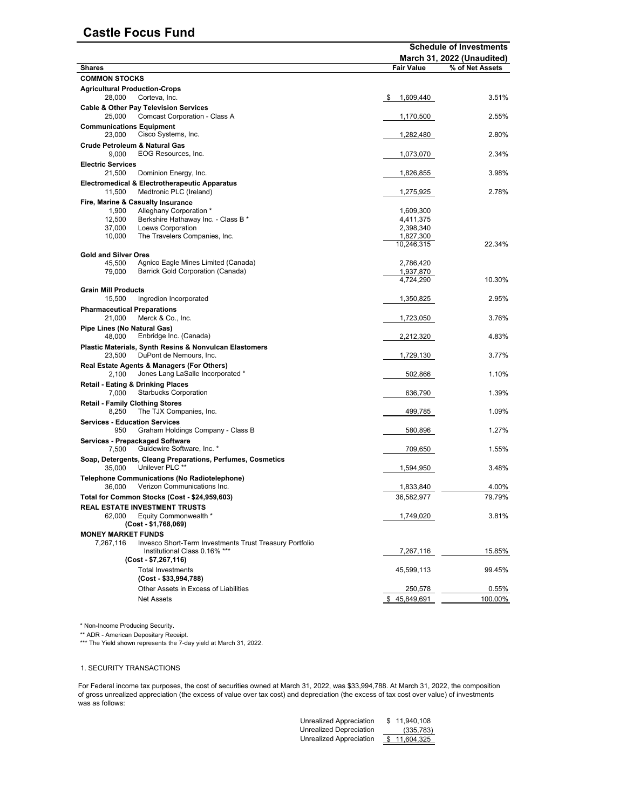## **Castle Focus Fund**

|                                                                                               | <b>Schedule of Investments</b><br>March 31, 2022 (Unaudited) |                 |  |  |  |
|-----------------------------------------------------------------------------------------------|--------------------------------------------------------------|-----------------|--|--|--|
| <b>Shares</b>                                                                                 | <b>Fair Value</b>                                            | % of Net Assets |  |  |  |
| <b>COMMON STOCKS</b>                                                                          |                                                              |                 |  |  |  |
| <b>Agricultural Production-Crops</b><br>28,000<br>Corteva, Inc.                               | 1,609,440<br>\$                                              | 3.51%           |  |  |  |
| <b>Cable &amp; Other Pay Television Services</b><br>25,000<br>Comcast Corporation - Class A   | 1,170,500                                                    | 2.55%           |  |  |  |
| <b>Communications Equipment</b><br>Cisco Systems, Inc.<br>23,000                              | 1,282,480                                                    | 2.80%           |  |  |  |
| <b>Crude Petroleum &amp; Natural Gas</b><br>9,000<br>EOG Resources, Inc.                      | 1,073,070                                                    | 2.34%           |  |  |  |
| <b>Electric Services</b><br>21.500<br>Dominion Energy, Inc.                                   | 1,826,855                                                    | 3.98%           |  |  |  |
| <b>Electromedical &amp; Electrotherapeutic Apparatus</b><br>11,500<br>Medtronic PLC (Ireland) | 1,275,925                                                    | 2.78%           |  |  |  |
| Fire, Marine & Casualty Insurance                                                             |                                                              |                 |  |  |  |
| Alleghany Corporation *<br>1,900                                                              | 1,609,300                                                    |                 |  |  |  |
| 12,500<br>Berkshire Hathaway Inc. - Class B *                                                 | 4,411,375                                                    |                 |  |  |  |
| 37,000<br>Loews Corporation<br>The Travelers Companies, Inc.<br>10,000                        | 2,398,340<br>1,827,300                                       |                 |  |  |  |
|                                                                                               | 10,246,315                                                   | 22.34%          |  |  |  |
| <b>Gold and Silver Ores</b>                                                                   |                                                              |                 |  |  |  |
| Agnico Eagle Mines Limited (Canada)<br>45,500                                                 | 2,786,420                                                    |                 |  |  |  |
| Barrick Gold Corporation (Canada)<br>79,000                                                   | 1,937,870                                                    |                 |  |  |  |
|                                                                                               | 4,724,290                                                    | 10.30%          |  |  |  |
| <b>Grain Mill Products</b><br>15,500<br>Ingredion Incorporated                                | 1,350,825                                                    | 2.95%           |  |  |  |
| <b>Pharmaceutical Preparations</b>                                                            |                                                              |                 |  |  |  |
| 21,000<br>Merck & Co., Inc.                                                                   | 1,723,050                                                    | 3.76%           |  |  |  |
| Pipe Lines (No Natural Gas)<br>48,000<br>Enbridge Inc. (Canada)                               | 2,212,320                                                    | 4.83%           |  |  |  |
| Plastic Materials, Synth Resins & Nonvulcan Elastomers<br>DuPont de Nemours, Inc.<br>23,500   | 1,729,130                                                    | 3.77%           |  |  |  |
| Real Estate Agents & Managers (For Others)<br>Jones Lang LaSalle Incorporated *<br>2.100      | 502,866                                                      | 1.10%           |  |  |  |
| <b>Retail - Eating &amp; Drinking Places</b><br><b>Starbucks Corporation</b><br>7,000         | 636,790                                                      | 1.39%           |  |  |  |
| <b>Retail - Family Clothing Stores</b><br>8,250<br>The TJX Companies, Inc.                    | 499,785                                                      | 1.09%           |  |  |  |
| <b>Services - Education Services</b><br>950<br>Graham Holdings Company - Class B              | 580,896                                                      | 1.27%           |  |  |  |
| Services - Prepackaged Software<br>Guidewire Software, Inc. *<br>7,500                        | 709,650                                                      | 1.55%           |  |  |  |
| Soap, Detergents, Cleang Preparations, Perfumes, Cosmetics<br>Unilever PLC **<br>35,000       | 1,594,950                                                    | 3.48%           |  |  |  |
| Telephone Communications (No Radiotelephone)<br>Verizon Communications Inc.<br>36,000         | 1,833,840                                                    | 4.00%           |  |  |  |
| Total for Common Stocks (Cost - \$24,959,603)                                                 | 36,582,977                                                   | 79.79%          |  |  |  |
| REAL ESTATE INVESTMENT TRUSTS                                                                 |                                                              |                 |  |  |  |
| 62.000<br>Equity Commonwealth *<br>(Cost - \$1,768,069)                                       | 1,749,020                                                    | 3.81%           |  |  |  |
| <b>MONEY MARKET FUNDS</b>                                                                     |                                                              |                 |  |  |  |
| Invesco Short-Term Investments Trust Treasury Portfolio<br>7,267,116                          |                                                              |                 |  |  |  |
| Institutional Class 0.16% ***<br>(Cost - \$7,267,116)                                         | 7,267,116                                                    | 15.85%          |  |  |  |
| <b>Total Investments</b><br>(Cost - \$33,994,788)                                             | 45,599,113                                                   | 99.45%          |  |  |  |
| Other Assets in Excess of Liabilities                                                         | 250,578                                                      | $0.55\%$        |  |  |  |
| Net Assets                                                                                    | \$45,849,691                                                 | 100.00%         |  |  |  |
|                                                                                               |                                                              |                 |  |  |  |

\* Non-Income Producing Security.

\*\* ADR - American Depositary Receipt.

\*\*\* The Yield shown represents the 7-day yield at March 31, 2022.

## 1. SECURITY TRANSACTIONS

For Federal income tax purposes, the cost of securities owned at March 31, 2022, was \$33,994,788. At March 31, 2022, the composition of gross unrealized appreciation (the excess of value over tax cost) and depreciation (the excess of tax cost over value) of investments was as follows:

| S. | 11,940,108 |
|----|------------|
|    | (335, 783) |
|    | 11,604,325 |
|    |            |